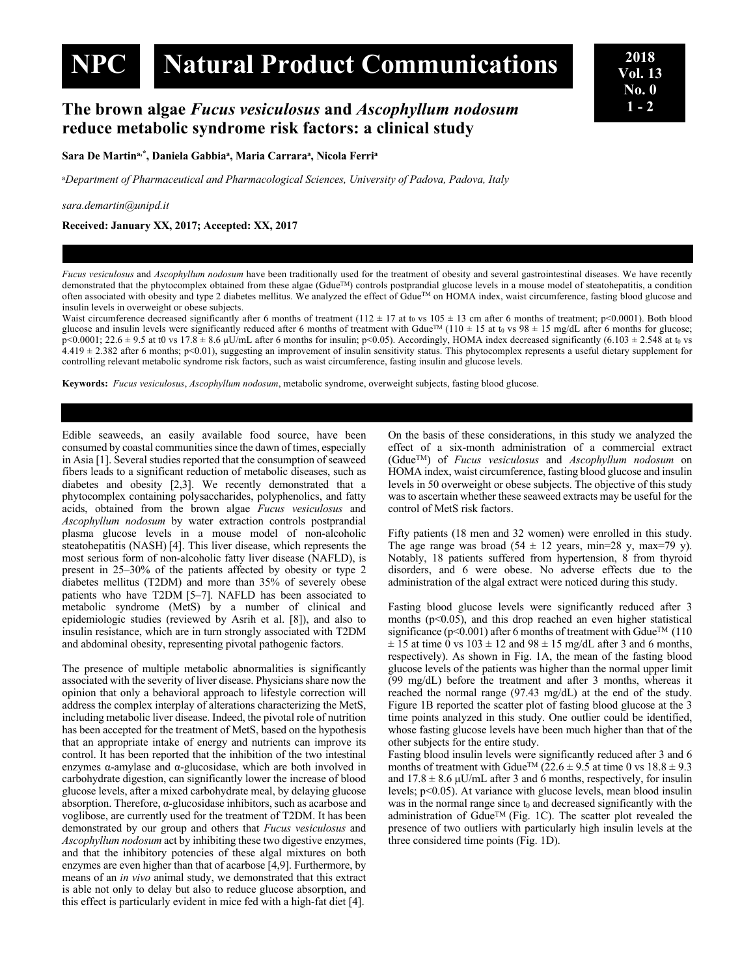# **NPC Natural Product Communications <sup>2018</sup>**

## **The brown algae** *Fucus vesiculosus* **and** *Ascophyllum nodosum* **reduce metabolic syndrome risk factors: a clinical study**

**Sara De Martina,\*, Daniela Gabbiaa, Maria Carraraa, Nicola Ferria**

<sup>a</sup>*Department of Pharmaceutical and Pharmacological Sciences, University of Padova, Padova, Italy*

#### *sara.demartin@unipd.it*

**Received: January XX, 2017; Accepted: XX, 2017**

*Fucus vesiculosus* and *Ascophyllum nodosum* have been traditionally used for the treatment of obesity and several gastrointestinal diseases. We have recently demonstrated that the phytocomplex obtained from these algae (Gdue<sup>TM</sup>) controls postprandial glucose levels in a mouse model of steatohepatitis, a condition often associated with obesity and type 2 diabetes mellitus. We analyzed the effect of GdueTM on HOMA index, waist circumference, fasting blood glucose and insulin levels in overweight or obese subjects.

Waist circumference decreased significantly after 6 months of treatment ( $112 \pm 17$  at t<sub>0</sub> vs  $105 \pm 13$  cm after 6 months of treatment; p<0.0001). Both blood glucose and insulin levels were significantly reduced after 6 months of treatment with Gdue<sup>TM</sup> (110  $\pm$  15 at t<sub>0</sub> vs 98  $\pm$  15 mg/dL after 6 months for glucose;  $p$ <0.0001; 22.6 ± 9.5 at t0 vs 17.8 ± 8.6 µU/mL after 6 months for insulin;  $p$ <0.05). Accordingly, HOMA index decreased significantly (6.103 ± 2.548 at t<sub>0</sub> vs  $4.419 \pm 2.382$  after 6 months; p<0.01), suggesting an improvement of insulin sensitivity status. This phytocomplex represents a useful dietary supplement for controlling relevant metabolic syndrome risk factors, such as waist circumference, fasting insulin and glucose levels.

**Keywords:** *Fucus vesiculosus*, *Ascophyllum nodosum*, metabolic syndrome, overweight subjects, fasting blood glucose.

Edible seaweeds, an easily available food source, have been consumed by coastal communities since the dawn of times, especially in Asia [1]. Several studies reported that the consumption of seaweed fibers leads to a significant reduction of metabolic diseases, such as diabetes and obesity [2,3]. We recently demonstrated that a phytocomplex containing polysaccharides, polyphenolics, and fatty acids, obtained from the brown algae *Fucus vesiculosus* and *Ascophyllum nodosum* by water extraction controls postprandial plasma glucose levels in a mouse model of non-alcoholic steatohepatitis (NASH) [4]. This liver disease, which represents the most serious form of non-alcoholic fatty liver disease (NAFLD), is present in 25–30% of the patients affected by obesity or type 2 diabetes mellitus (T2DM) and more than 35% of severely obese patients who have T2DM [5–7]. NAFLD has been associated to metabolic syndrome (MetS) by a number of clinical and epidemiologic studies (reviewed by Asrih et al. [8]), and also to insulin resistance, which are in turn strongly associated with T2DM and abdominal obesity, representing pivotal pathogenic factors.

The presence of multiple metabolic abnormalities is significantly associated with the severity of liver disease. Physicians share now the opinion that only a behavioral approach to lifestyle correction will address the complex interplay of alterations characterizing the MetS, including metabolic liver disease. Indeed, the pivotal role of nutrition has been accepted for the treatment of MetS, based on the hypothesis that an appropriate intake of energy and nutrients can improve its control. It has been reported that the inhibition of the two intestinal enzymes α-amylase and α-glucosidase, which are both involved in carbohydrate digestion, can significantly lower the increase of blood glucose levels, after a mixed carbohydrate meal, by delaying glucose absorption. Therefore, α-glucosidase inhibitors, such as acarbose and voglibose, are currently used for the treatment of T2DM. It has been demonstrated by our group and others that *Fucus vesiculosus* and *Ascophyllum nodosum* act by inhibiting these two digestive enzymes, and that the inhibitory potencies of these algal mixtures on both enzymes are even higher than that of acarbose [4,9]. Furthermore, by means of an *in vivo* animal study, we demonstrated that this extract is able not only to delay but also to reduce glucose absorption, and this effect is particularly evident in mice fed with a high-fat diet [4].

On the basis of these considerations, in this study we analyzed the effect of a six-month administration of a commercial extract (GdueTM) of *Fucus vesiculosus* and *Ascophyllum nodosum* on HOMA index, waist circumference, fasting blood glucose and insulin levels in 50 overweight or obese subjects. The objective of this study was to ascertain whether these seaweed extracts may be useful for the control of MetS risk factors.

Fifty patients (18 men and 32 women) were enrolled in this study. The age range was broad  $(54 \pm 12 \text{ years}, \text{ min=28 y}, \text{ max=79 y}).$ Notably, 18 patients suffered from hypertension, 8 from thyroid disorders, and 6 were obese. No adverse effects due to the administration of the algal extract were noticed during this study.

Fasting blood glucose levels were significantly reduced after 3 months  $(p<0.05)$ , and this drop reached an even higher statistical significance ( $p$ <0.001) after 6 months of treatment with Gdue<sup>TM</sup> (110)  $\pm$  15 at time 0 vs 103  $\pm$  12 and 98  $\pm$  15 mg/dL after 3 and 6 months, respectively). As shown in Fig. 1A, the mean of the fasting blood glucose levels of the patients was higher than the normal upper limit (99 mg/dL) before the treatment and after 3 months, whereas it reached the normal range (97.43 mg/dL) at the end of the study. Figure 1B reported the scatter plot of fasting blood glucose at the 3 time points analyzed in this study. One outlier could be identified, whose fasting glucose levels have been much higher than that of the other subjects for the entire study.

Fasting blood insulin levels were significantly reduced after 3 and 6 months of treatment with Gdue<sup>TM</sup> ( $22.6 \pm 9.5$  at time 0 vs  $18.8 \pm 9.3$ ) and  $17.8 \pm 8.6$   $\mu$ U/mL after 3 and 6 months, respectively, for insulin levels; p<0.05). At variance with glucose levels, mean blood insulin was in the normal range since  $t_0$  and decreased significantly with the administration of Gdue<sup>TM</sup> (Fig. 1C). The scatter plot revealed the presence of two outliers with particularly high insulin levels at the three considered time points (Fig. 1D).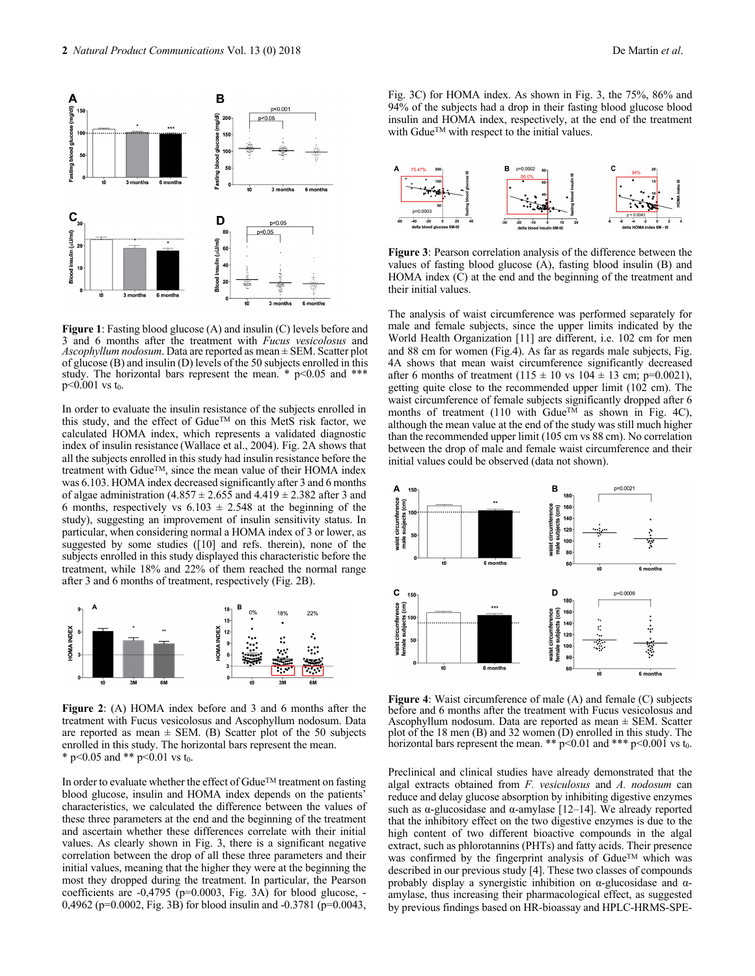



**Figure 1**: Fasting blood glucose (A) and insulin (C) levels before and 3 and 6 months after the treatment with *Fucus vesicolosus* and *Ascophyllum nodosum*. Data are reported as mean ± SEM. Scatter plot of glucose (B) and insulin (D) levels of the 50 subjects enrolled in this study. The horizontal bars represent the mean.  $*$  p<0.05 and  $***$  $p<0.001$  vs t<sub>0</sub>.

In order to evaluate the insulin resistance of the subjects enrolled in this study, and the effect of Gdue™ on this MetS risk factor, we calculated HOMA index, which represents a validated diagnostic index of insulin resistance (Wallace et al., 2004). Fig. 2A shows that all the subjects enrolled in this study had insulin resistance before the treatment with Gdue™, since the mean value of their HOMA index was 6.103. HOMA index decreased significantly after 3 and 6 months of algae administration  $(4.857 \pm 2.655)$  and  $4.419 \pm 2.382$  after 3 and 6 months, respectively vs  $6.103 \pm 2.548$  at the beginning of the study), suggesting an improvement of insulin sensitivity status. In particular, when considering normal a HOMA index of 3 or lower, as suggested by some studies ([10] and refs. therein), none of the subjects enrolled in this study displayed this characteristic before the treatment, while 18% and 22% of them reached the normal range after 3 and 6 months of treatment, respectively (Fig. 2B).



**Figure 2**: (A) HOMA index before and 3 and 6 months after the treatment with Fucus vesicolosus and Ascophyllum nodosum. Data are reported as mean  $\pm$  SEM. (B) Scatter plot of the 50 subjects enrolled in this study. The horizontal bars represent the mean. \* p<0.05 and \*\* p<0.01 vs t<sub>0</sub>.

In order to evaluate whether the effect of GdueTM treatment on fasting blood glucose, insulin and HOMA index depends on the patients' characteristics, we calculated the difference between the values of these three parameters at the end and the beginning of the treatment and ascertain whether these differences correlate with their initial values. As clearly shown in Fig. 3, there is a significant negative correlation between the drop of all these three parameters and their initial values, meaning that the higher they were at the beginning the most they dropped during the treatment. In particular, the Pearson coefficients are -0,4795 (p=0.0003, Fig. 3A) for blood glucose, - 0,4962 (p=0.0002, Fig. 3B) for blood insulin and -0.3781 (p=0.0043,

Fig. 3C) for HOMA index. As shown in Fig. 3, the 75%, 86% and 94% of the subjects had a drop in their fasting blood glucose blood insulin and HOMA index, respectively, at the end of the treatment with GdueTM with respect to the initial values.



**Figure 3**: Pearson correlation analysis of the difference between the values of fasting blood glucose (A), fasting blood insulin (B) and HOMA index  $(C)$  at the end and the beginning of the treatment and their initial values.

The analysis of waist circumference was performed separately for male and female subjects, since the upper limits indicated by the World Health Organization [11] are different, i.e. 102 cm for men and 88 cm for women (Fig.4). As far as regards male subjects, Fig. 4A shows that mean waist circumference significantly decreased after 6 months of treatment  $(115 \pm 10 \text{ vs } 104 \pm 13 \text{ cm}; \text{p=0.0021}),$ getting quite close to the recommended upper limit (102 cm). The waist circumference of female subjects significantly dropped after 6 months of treatment (110 with Gdue<sup>TM</sup> as shown in Fig. 4C), although the mean value at the end of the study was still much higher than the recommended upper limit (105 cm vs 88 cm). No correlation between the drop of male and female waist circumference and their initial values could be observed (data not shown).



**Figure 4**: Waist circumference of male (A) and female (C) subjects before and 6 months after the treatment with Fucus vesicolosus and Ascophyllum nodosum. Data are reported as mean  $\pm$  SEM. Scatter plot of the 18 men (B) and 32 women (D) enrolled in this study. The horizontal bars represent the mean. \*\*  $p<0.01$  and \*\*\*  $p<0.001$  vs t<sub>0</sub>.

Preclinical and clinical studies have already demonstrated that the algal extracts obtained from *F. vesiculosus* and *A. nodosum* can reduce and delay glucose absorption by inhibiting digestive enzymes such as α-glucosidase and α-amylase [12–14]. We already reported that the inhibitory effect on the two digestive enzymes is due to the high content of two different bioactive compounds in the algal extract, such as phlorotannins (PHTs) and fatty acids. Their presence was confirmed by the fingerprint analysis of GdueTM which was described in our previous study [4]. These two classes of compounds probably display a synergistic inhibition on  $\alpha$ -glucosidase and  $\alpha$ amylase, thus increasing their pharmacological effect, as suggested by previous findings based on HR-bioassay and HPLC-HRMS-SPE-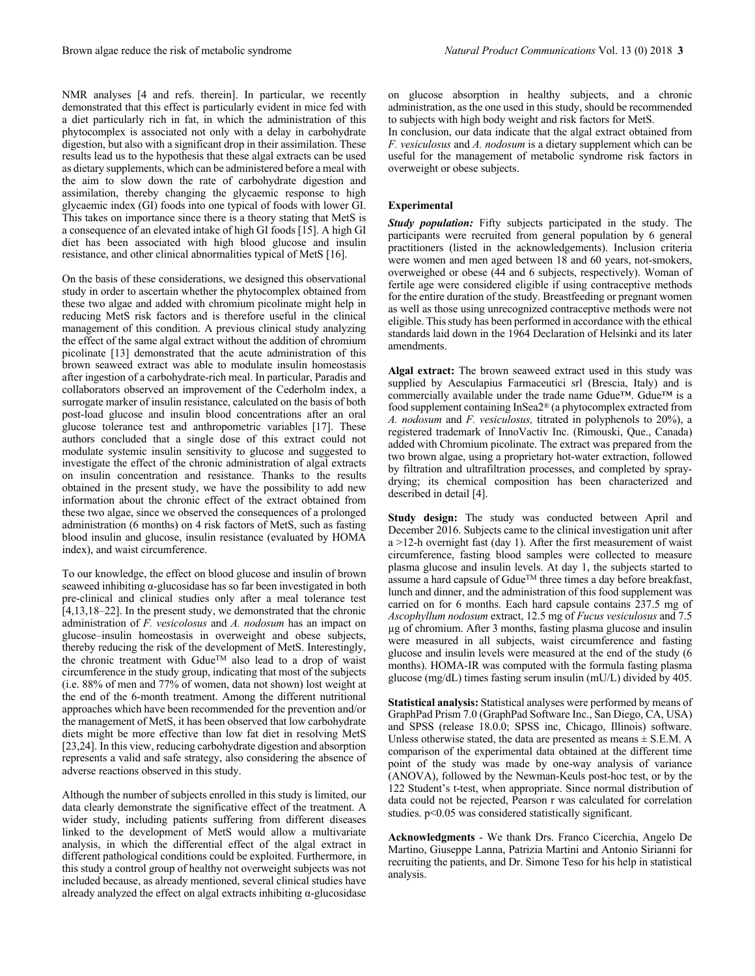NMR analyses [4 and refs. therein]. In particular, we recently demonstrated that this effect is particularly evident in mice fed with a diet particularly rich in fat, in which the administration of this phytocomplex is associated not only with a delay in carbohydrate digestion, but also with a significant drop in their assimilation. These results lead us to the hypothesis that these algal extracts can be used as dietary supplements, which can be administered before a meal with the aim to slow down the rate of carbohydrate digestion and assimilation, thereby changing the glycaemic response to high glycaemic index (GI) foods into one typical of foods with lower GI. This takes on importance since there is a theory stating that MetS is a consequence of an elevated intake of high GI foods [15]. A high GI diet has been associated with high blood glucose and insulin resistance, and other clinical abnormalities typical of MetS [16].

On the basis of these considerations, we designed this observational study in order to ascertain whether the phytocomplex obtained from these two algae and added with chromium picolinate might help in reducing MetS risk factors and is therefore useful in the clinical management of this condition. A previous clinical study analyzing the effect of the same algal extract without the addition of chromium picolinate [13] demonstrated that the acute administration of this brown seaweed extract was able to modulate insulin homeostasis after ingestion of a carbohydrate-rich meal. In particular, Paradis and collaborators observed an improvement of the Cederholm index, a surrogate marker of insulin resistance, calculated on the basis of both post-load glucose and insulin blood concentrations after an oral glucose tolerance test and anthropometric variables [17]. These authors concluded that a single dose of this extract could not modulate systemic insulin sensitivity to glucose and suggested to investigate the effect of the chronic administration of algal extracts on insulin concentration and resistance. Thanks to the results obtained in the present study, we have the possibility to add new information about the chronic effect of the extract obtained from these two algae, since we observed the consequences of a prolonged administration (6 months) on 4 risk factors of MetS, such as fasting blood insulin and glucose, insulin resistance (evaluated by HOMA index), and waist circumference.

To our knowledge, the effect on blood glucose and insulin of brown seaweed inhibiting α-glucosidase has so far been investigated in both pre-clinical and clinical studies only after a meal tolerance test [4,13,18–22]. In the present study, we demonstrated that the chronic administration of *F. vesicolosus* and *A. nodosum* has an impact on glucose–insulin homeostasis in overweight and obese subjects, thereby reducing the risk of the development of MetS. Interestingly, the chronic treatment with GdueTM also lead to a drop of waist circumference in the study group, indicating that most of the subjects (i.e. 88% of men and 77% of women, data not shown) lost weight at the end of the 6-month treatment. Among the different nutritional approaches which have been recommended for the prevention and/or the management of MetS, it has been observed that low carbohydrate diets might be more effective than low fat diet in resolving MetS [23,24]. In this view, reducing carbohydrate digestion and absorption represents a valid and safe strategy, also considering the absence of adverse reactions observed in this study.

Although the number of subjects enrolled in this study is limited, our data clearly demonstrate the significative effect of the treatment. A wider study, including patients suffering from different diseases linked to the development of MetS would allow a multivariate analysis, in which the differential effect of the algal extract in different pathological conditions could be exploited. Furthermore, in this study a control group of healthy not overweight subjects was not included because, as already mentioned, several clinical studies have already analyzed the effect on algal extracts inhibiting  $\alpha$ -glucosidase

on glucose absorption in healthy subjects, and a chronic administration, as the one used in this study, should be recommended to subjects with high body weight and risk factors for MetS.

In conclusion, our data indicate that the algal extract obtained from *F. vesiculosus* and *A. nodosum* is a dietary supplement which can be useful for the management of metabolic syndrome risk factors in overweight or obese subjects.

### **Experimental**

*Study population:* Fifty subjects participated in the study. The participants were recruited from general population by 6 general practitioners (listed in the acknowledgements). Inclusion criteria were women and men aged between 18 and 60 years, not-smokers, overweighed or obese (44 and 6 subjects, respectively). Woman of fertile age were considered eligible if using contraceptive methods for the entire duration of the study. Breastfeeding or pregnant women as well as those using unrecognized contraceptive methods were not eligible. This study has been performed in accordance with the ethical standards laid down in the 1964 Declaration of Helsinki and its later amendments.

**Algal extract:** The brown seaweed extract used in this study was supplied by Aesculapius Farmaceutici srl (Brescia, Italy) and is commercially available under the trade name Gdue™. Gdue™ is a food supplement containing InSea2® (a phytocomplex extracted from *A. nodosum* and *F. vesiculosus,* titrated in polyphenols to 20%), a registered trademark of InnoVactiv Inc. (Rimouski, Que., Canada) added with Chromium picolinate. The extract was prepared from the two brown algae, using a proprietary hot-water extraction, followed by filtration and ultrafiltration processes, and completed by spraydrying; its chemical composition has been characterized and described in detail [4].

**Study design:** The study was conducted between April and December 2016. Subjects came to the clinical investigation unit after a >12-h overnight fast (day 1). After the first measurement of waist circumference, fasting blood samples were collected to measure plasma glucose and insulin levels. At day 1, the subjects started to assume a hard capsule of GdueTM three times a day before breakfast, lunch and dinner, and the administration of this food supplement was carried on for 6 months. Each hard capsule contains 237.5 mg of *Ascophyllum nodosum* extract, 12.5 mg of *Fucus vesiculosus* and 7.5 µg of chromium. After 3 months, fasting plasma glucose and insulin were measured in all subjects, waist circumference and fasting glucose and insulin levels were measured at the end of the study (6 months). HOMA-IR was computed with the formula fasting plasma glucose (mg/dL) times fasting serum insulin (mU/L) divided by 405.

**Statistical analysis:** Statistical analyses were performed by means of GraphPad Prism 7.0 (GraphPad Software Inc., San Diego, CA, USA) and SPSS (release 18.0.0; SPSS inc, Chicago, Illinois) software. Unless otherwise stated, the data are presented as means  $\pm$  S.E.M. A comparison of the experimental data obtained at the different time point of the study was made by one-way analysis of variance (ANOVA), followed by the Newman-Keuls post-hoc test, or by the 122 Student's t-test, when appropriate. Since normal distribution of data could not be rejected, Pearson r was calculated for correlation studies. p<0.05 was considered statistically significant.

**Acknowledgments** - We thank Drs. Franco Cicerchia, Angelo De Martino, Giuseppe Lanna, Patrizia Martini and Antonio Sirianni for recruiting the patients, and Dr. Simone Teso for his help in statistical analysis.